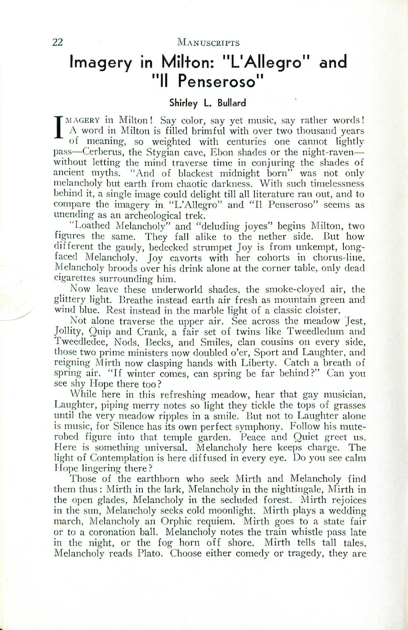### 22 MANUSCRIPTS

# **Imagery In Milton: "L'Aliegro" and "II Penseroso"**

## **Shirley L. Bullard**

 $\prod_{i=1}^{n}$  $M$  *MGERY* in Milton! Say color, say yet music, say rather words  ${\rm A}$  word in Milton is filled brimful with over two thousand years of meaning, so weighted with centuries one cannot lightly pass-Cerberus, the Stygian cave, Ebon shades or the night-ravenwithout letting the mind traverse time in conjuring the shades of ancient myths. "And of blackest midnight born" was not only melancholy but earth from chaotic darkness. With such timelessness behind it, a single image could delight till all literature ran out, and to compare the imagery in "L'Allegro" and "Il Penseroso" seems as unending as an archeological trek.

. "Loathed Melancholy" and "deluding joyes" begins Milton, two figures the same. They fall alike to the nether side. But how different the gaudy, bedecked strumpet Joy is from unkempt, longfaced Melancholy. Joy cavorts with her cohorts in chorus-line, Melancholy broods over his drink alone at the corner table, only dead cigarettes surrounding him. .

Now leave these underworld shades, the smoke-cloyed air, the glittery light. Breathe instead earth air fresh as mountain green and wind blue. Rest instead in the marble light of a classic cloister.

Not alone traverse the upper air. See across the meadow Jest, Jollity, Quip and Crank, a fair set of twins like Tweedledum and TweecIledee, Nods, Becks, and Smiles, clan cousins on every side, those two prime ministers now doubled o'er, Sport and Laughter, and reigning Mirth now clasping hands with Liberty. Catch a breath of spring air. "If winter comes, can spring be far behind?" Can you see shy Hope there too?

While here in this refreshing meadow, hear that gay musician, Laughter, piping merry notes so light they tickle the tops of grasses until the very meadow ripples in a smile. But not to Laughter alone is music, for Silence has its own perfect symphony. Follow his muterobed figure into that temple garden. Peace and Quiet greet us. Here is something universal. Melancholy here keeps charge. The light of Contemplation is here diffused in every eye. Do you see calm Hope lingering there?

Those of the earthborn who seek Mirth and Melancholy find them thus: Mirth in the lark, Melancholy in the nightingale, Mirth in the open glades, Melancholy in the secluded forest. Mirth rejoices in the sun, Melancholy seeks cold moonlight. Mirth plays a wedding march, Melancholy an Orphic requiem. Mirth goes to a state fair or to a coronation ball. Melancholy notes the train whistle pass late in the night, or the fog horn off shore. Mirth tells tall tales Melancholy reads Plato. Choose either comedy or tragedy, they are